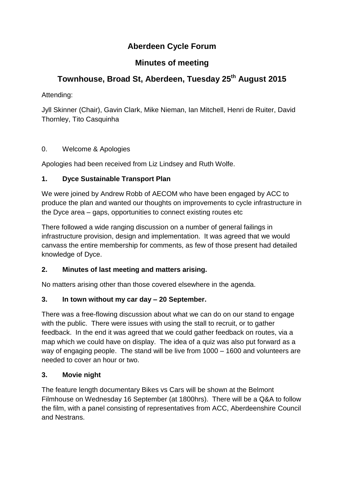# **Aberdeen Cycle Forum**

# **Minutes of meeting**

# **Townhouse, Broad St, Aberdeen, Tuesday 25th August 2015**

Attending:

Jyll Skinner (Chair), Gavin Clark, Mike Nieman, Ian Mitchell, Henri de Ruiter, David Thornley, Tito Casquinha

## 0. Welcome & Apologies

Apologies had been received from Liz Lindsey and Ruth Wolfe.

## **1. Dyce Sustainable Transport Plan**

We were joined by Andrew Robb of AECOM who have been engaged by ACC to produce the plan and wanted our thoughts on improvements to cycle infrastructure in the Dyce area – gaps, opportunities to connect existing routes etc

There followed a wide ranging discussion on a number of general failings in infrastructure provision, design and implementation. It was agreed that we would canvass the entire membership for comments, as few of those present had detailed knowledge of Dyce.

#### **2. Minutes of last meeting and matters arising.**

No matters arising other than those covered elsewhere in the agenda.

#### **3. In town without my car day – 20 September.**

There was a free-flowing discussion about what we can do on our stand to engage with the public. There were issues with using the stall to recruit, or to gather feedback. In the end it was agreed that we could gather feedback on routes, via a map which we could have on display. The idea of a quiz was also put forward as a way of engaging people. The stand will be live from 1000 – 1600 and volunteers are needed to cover an hour or two.

#### **3. Movie night**

The feature length documentary Bikes vs Cars will be shown at the Belmont Filmhouse on Wednesday 16 September (at 1800hrs). There will be a Q&A to follow the film, with a panel consisting of representatives from ACC, Aberdeenshire Council and Nestrans.